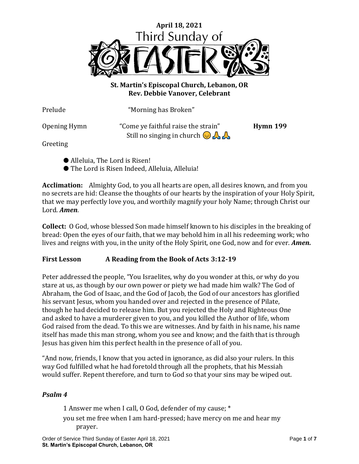

**St. Martin's Episcopal Church, Lebanon, OR Rev. Debbie Vanover, Celebrant**

Prelude "Morning has Broken" Opening Hymn "Come ye faithful raise the strain" **Hymn 199** Still no singing in church  $\bigcirc$  A

Greeting

- Alleluia, The Lord is Risen!
- The Lord is Risen Indeed, Alleluia, Alleluia!

**Acclimation:** Almighty God, to you all hearts are open, all desires known, and from you no secrets are hid: Cleanse the thoughts of our hearts by the inspiration of your Holy Spirit, that we may perfectly love you, and worthily magnify your holy Name; through Christ our Lord. *Amen*.

**Collect:** O God, whose blessed Son made himself known to his disciples in the breaking of bread: Open the eyes of our faith, that we may behold him in all his redeeming work; who lives and reigns with you, in the unity of the Holy Spirit, one God, now and for ever. *Amen.*

## **First Lesson A Reading from the Book of Acts 3:12-19**

Peter addressed the people, "You Israelites, why do you wonder at this, or why do you stare at us, as though by our own power or piety we had made him walk? The God of Abraham, the God of Isaac, and the God of Jacob, the God of our ancestors has glorified his servant Jesus, whom you handed over and rejected in the presence of Pilate, though he had decided to release him. But you rejected the Holy and Righteous One and asked to have a murderer given to you, and you killed the Author of life, whom God raised from the dead. To this we are witnesses. And by faith in his name, his name itself has made this man strong, whom you see and know; and the faith that is through Jesus has given him this perfect health in the presence of all of you.

"And now, friends, I know that you acted in ignorance, as did also your rulers. In this way God fulfilled what he had foretold through all the prophets, that his Messiah would suffer. Repent therefore, and turn to God so that your sins may be wiped out.

#### *Psalm 4*

1 Answer me when I call, O God, defender of my cause; \*

you set me free when I am hard-pressed; have mercy on me and hear my prayer.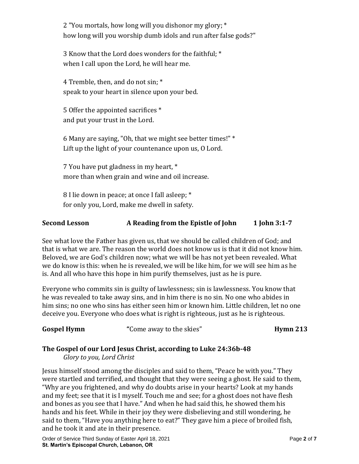2 "You mortals, how long will you dishonor my glory; \* how long will you worship dumb idols and run after false gods?"

3 Know that the Lord does wonders for the faithful; \* when I call upon the Lord, he will hear me.

4 Tremble, then, and do not sin; \* speak to your heart in silence upon your bed.

5 Offer the appointed sacrifices \* and put your trust in the Lord.

6 Many are saying, "Oh, that we might see better times!" \* Lift up the light of your countenance upon us, O Lord.

7 You have put gladness in my heart, \* more than when grain and wine and oil increase.

8 I lie down in peace; at once I fall asleep; \* for only you, Lord, make me dwell in safety.

# **Second Lesson** A Reading from the Epistle of John 1 John 3:1-7

See what love the Father has given us, that we should be called children of God; and that is what we are. The reason the world does not know us is that it did not know him. Beloved, we are God's children now; what we will be has not yet been revealed. What we do know is this: when he is revealed, we will be like him, for we will see him as he is. And all who have this hope in him purify themselves, just as he is pure.

Everyone who commits sin is guilty of lawlessness; sin is lawlessness. You know that he was revealed to take away sins, and in him there is no sin. No one who abides in him sins; no one who sins has either seen him or known him. Little children, let no one deceive you. Everyone who does what is right is righteous, just as he is righteous.

| <b>Gospel Hymn</b> | "Come away to the skies" | <b>Hymn 213</b> |
|--------------------|--------------------------|-----------------|
|--------------------|--------------------------|-----------------|

# **The Gospel of our Lord Jesus Christ, according to Luke 24:36b-48**

*Glory to you, Lord Christ*

Jesus himself stood among the disciples and said to them, "Peace be with you." They were startled and terrified, and thought that they were seeing a ghost. He said to them, "Why are you frightened, and why do doubts arise in your hearts? Look at my hands and my feet; see that it is I myself. Touch me and see; for a ghost does not have flesh and bones as you see that I have." And when he had said this, he showed them his hands and his feet. While in their joy they were disbelieving and still wondering, he said to them, "Have you anything here to eat?" They gave him a piece of broiled fish, and he took it and ate in their presence.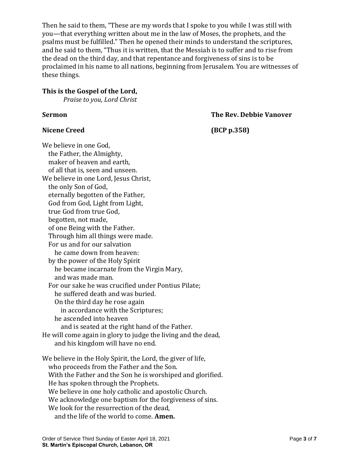Then he said to them, "These are my words that I spoke to you while I was still with you—that everything written about me in the law of Moses, the prophets, and the psalms must be fulfilled." Then he opened their minds to understand the scriptures, and he said to them, "Thus it is written, that the Messiah is to suffer and to rise from the dead on the third day, and that repentance and forgiveness of sins is to be proclaimed in his name to all nations, beginning from Jerusalem. You are witnesses of these things.

#### **This is the Gospel of the Lord,**

*Praise to you, Lord Christ*

#### **Sermon The Rev. Debbie Vanover**

Nicene Creed **(BCP p.358)** 

We believe in one God,

 the Father, the Almighty, maker of heaven and earth, of all that is, seen and unseen. We believe in one Lord, Jesus Christ, the only Son of God, eternally begotten of the Father, God from God, Light from Light, true God from true God, begotten, not made, of one Being with the Father. Through him all things were made. For us and for our salvation he came down from heaven: by the power of the Holy Spirit he became incarnate from the Virgin Mary, and was made man. For our sake he was crucified under Pontius Pilate; he suffered death and was buried. On the third day he rose again in accordance with the Scriptures; he ascended into heaven and is seated at the right hand of the Father. He will come again in glory to judge the living and the dead, and his kingdom will have no end. We believe in the Holy Spirit, the Lord, the giver of life, who proceeds from the Father and the Son. With the Father and the Son he is worshiped and glorified. He has spoken through the Prophets. We believe in one holy catholic and apostolic Church. We acknowledge one baptism for the forgiveness of sins. We look for the resurrection of the dead, and the life of the world to come. **Amen.**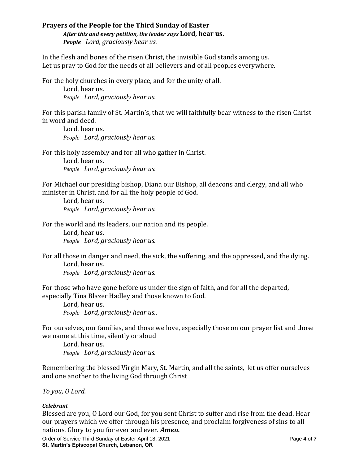#### **Prayers of the People for the Third Sunday of Easter**

*After this and every petition, the leader says* **Lord, hear us.** *People**Lord, graciously hear us.*

In the flesh and bones of the risen Christ, the invisible God stands among us. Let us pray to God for the needs of all believers and of all peoples everywhere.

For the holy churches in every place, and for the unity of all.

Lord, hear us. *People Lord, graciously hear us.*

For this parish family of St. Martin's, that we will faithfully bear witness to the risen Christ in word and deed.

Lord, hear us. *People Lord, graciously hear us.*

For this holy assembly and for all who gather in Christ. Lord, hear us. *People Lord, graciously hear us.*

For Michael our presiding bishop, Diana our Bishop, all deacons and clergy, and all who minister in Christ, and for all the holy people of God.

Lord, hear us. *People Lord, graciously hear us.*

For the world and its leaders, our nation and its people. Lord, hear us.

*People Lord, graciously hear us.*

For all those in danger and need, the sick, the suffering, and the oppressed, and the dying. Lord, hear us. *People Lord, graciously hear us.*

For those who have gone before us under the sign of faith, and for all the departed, especially Tina Blazer Hadley and those known to God.

Lord, hear us. *People Lord, graciously hear us.*.

For ourselves, our families, and those we love, especially those on our prayer list and those we name at this time, silently or aloud

Lord, hear us. *People Lord, graciously hear us.*

Remembering the blessed Virgin Mary, St. Martin, and all the saints, let us offer ourselves and one another to the living God through Christ

*To you, O Lord.*

#### *Celebrant*

Blessed are you, O Lord our God, for you sent Christ to suffer and rise from the dead. Hear our prayers which we offer through his presence, and proclaim forgiveness of sins to all nations. Glory to you for ever and ever. *Amen.*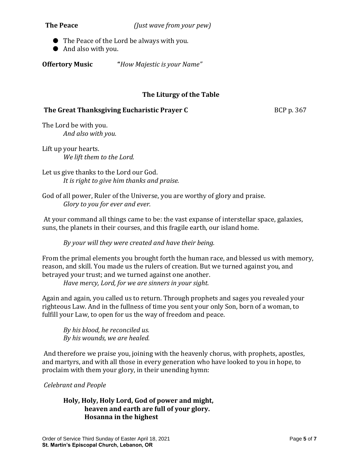- The Peace of the Lord be always with you.
- And also with you.

**Offertory Music "***How Majestic is your Name"*

### **The Liturgy of the Table**

#### **The Great Thanksgiving Eucharistic Prayer C** BCP p. 367

The Lord be with you. *And also with you.*

Lift up your hearts. *We lift them to the Lord.*

Let us give thanks to the Lord our God. *It is right to give him thanks and praise.*

God of all power, Ruler of the Universe, you are worthy of glory and praise. *Glory to you for ever and ever.*

At your command all things came to be: the vast expanse of interstellar space, galaxies, suns, the planets in their courses, and this fragile earth, our island home.

*By your will they were created and have their being.*

From the primal elements you brought forth the human race, and blessed us with memory, reason, and skill. You made us the rulers of creation. But we turned against you, and betrayed your trust; and we turned against one another.

*Have mercy, Lord, for we are sinners in your sight.*

Again and again, you called us to return. Through prophets and sages you revealed your righteous Law. And in the fullness of time you sent your only Son, born of a woman, to fulfill your Law, to open for us the way of freedom and peace.

*By his blood, he reconciled us. By his wounds, we are healed.*

And therefore we praise you, joining with the heavenly chorus, with prophets, apostles, and martyrs, and with all those in every generation who have looked to you in hope, to proclaim with them your glory, in their unending hymn:

*Celebrant and People*

#### **Holy, Holy, Holy Lord, God of power and might, heaven and earth are full of your glory. Hosanna in the highest**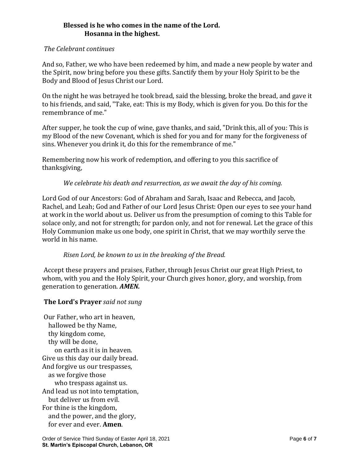#### **Blessed is he who comes in the name of the Lord. Hosanna in the highest.**

#### *The Celebrant continues*

And so, Father, we who have been redeemed by him, and made a new people by water and the Spirit, now bring before you these gifts. Sanctify them by your Holy Spirit to be the Body and Blood of Jesus Christ our Lord.

On the night he was betrayed he took bread, said the blessing, broke the bread, and gave it to his friends, and said, "Take, eat: This is my Body, which is given for you. Do this for the remembrance of me."

After supper, he took the cup of wine, gave thanks, and said, "Drink this, all of you: This is my Blood of the new Covenant, which is shed for you and for many for the forgiveness of sins. Whenever you drink it, do this for the remembrance of me."

Remembering now his work of redemption, and offering to you this sacrifice of thanksgiving,

*We celebrate his death and resurrection, as we await the day of his coming.*

Lord God of our Ancestors: God of Abraham and Sarah, Isaac and Rebecca, and Jacob, Rachel, and Leah; God and Father of our Lord Jesus Christ: Open our eyes to see your hand at work in the world about us. Deliver us from the presumption of coming to this Table for solace only, and not for strength; for pardon only, and not for renewal. Let the grace of this Holy Communion make us one body, one spirit in Christ, that we may worthily serve the world in his name.

#### *Risen Lord, be known to us in the breaking of the Bread.*

Accept these prayers and praises, Father, through Jesus Christ our great High Priest, to whom, with you and the Holy Spirit, your Church gives honor, glory, and worship, from generation to generation. *AMEN.*

#### **The Lord's Prayer** *said not sung*

Our Father, who art in heaven, hallowed be thy Name, thy kingdom come, thy will be done, on earth as it is in heaven. Give us this day our daily bread. And forgive us our trespasses, as we forgive those who trespass against us. And lead us not into temptation, but deliver us from evil. For thine is the kingdom, and the power, and the glory, for ever and ever. **Amen**.